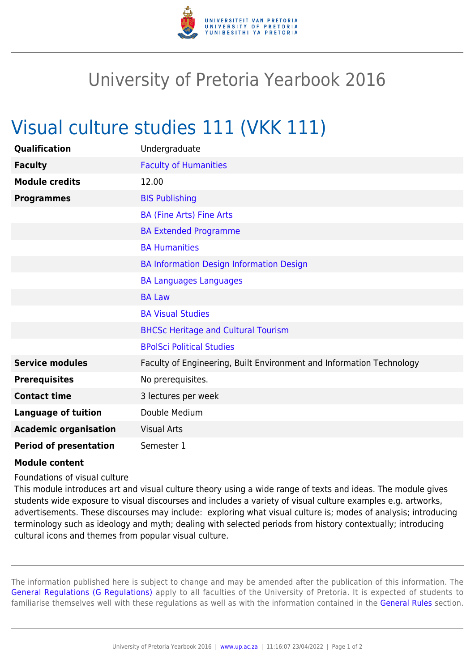

## University of Pretoria Yearbook 2016

## Visual culture studies 111 (VKK 111)

| Qualification                 | Undergraduate                                                        |
|-------------------------------|----------------------------------------------------------------------|
| <b>Faculty</b>                | <b>Faculty of Humanities</b>                                         |
| <b>Module credits</b>         | 12.00                                                                |
| <b>Programmes</b>             | <b>BIS Publishing</b>                                                |
|                               | <b>BA (Fine Arts) Fine Arts</b>                                      |
|                               | <b>BA Extended Programme</b>                                         |
|                               | <b>BA Humanities</b>                                                 |
|                               | BA Information Design Information Design                             |
|                               | <b>BA Languages Languages</b>                                        |
|                               | <b>BA Law</b>                                                        |
|                               | <b>BA Visual Studies</b>                                             |
|                               | <b>BHCSc Heritage and Cultural Tourism</b>                           |
|                               | <b>BPolSci Political Studies</b>                                     |
| <b>Service modules</b>        | Faculty of Engineering, Built Environment and Information Technology |
| <b>Prerequisites</b>          | No prerequisites.                                                    |
| <b>Contact time</b>           | 3 lectures per week                                                  |
| <b>Language of tuition</b>    | Double Medium                                                        |
| <b>Academic organisation</b>  | <b>Visual Arts</b>                                                   |
| <b>Period of presentation</b> | Semester 1                                                           |

## **Module content**

Foundations of visual culture

This module introduces art and visual culture theory using a wide range of texts and ideas. The module gives students wide exposure to visual discourses and includes a variety of visual culture examples e.g. artworks, advertisements. These discourses may include: exploring what visual culture is; modes of analysis; introducing terminology such as ideology and myth; dealing with selected periods from history contextually; introducing cultural icons and themes from popular visual culture.

The information published here is subject to change and may be amended after the publication of this information. The [General Regulations \(G Regulations\)](https://www.up.ac.za/yearbooks/2016/rules/view/REG) apply to all faculties of the University of Pretoria. It is expected of students to familiarise themselves well with these regulations as well as with the information contained in the [General Rules](https://www.up.ac.za/yearbooks/2016/rules/view/RUL) section.